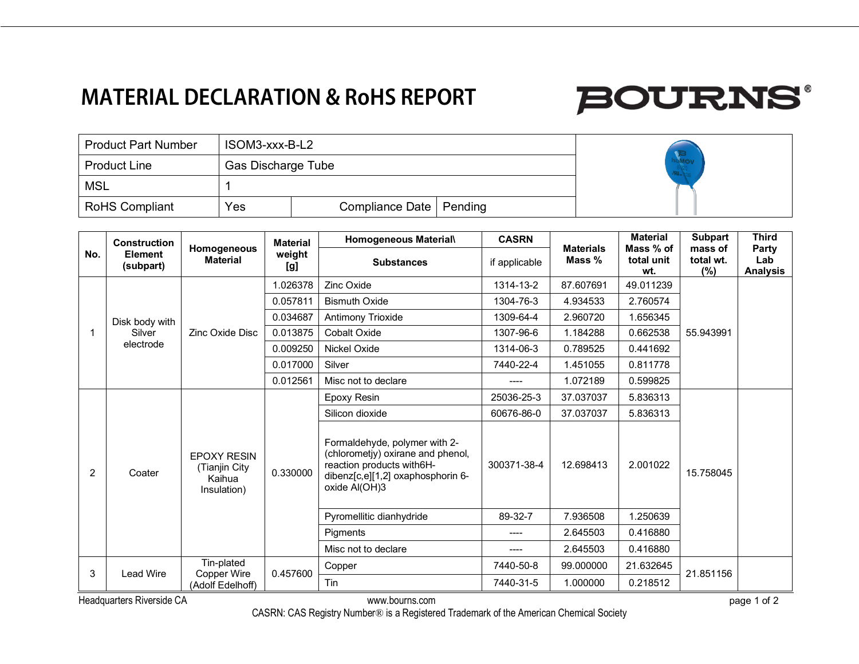## **MATERIAL DECLARATION & RoHS REPORT**

# **BOURNS®**

| <b>Product Part Number</b> | ISOM3-xxx-B-L2     |                           |  |  |
|----------------------------|--------------------|---------------------------|--|--|
| <b>Product Line</b>        | Gas Discharge Tube |                           |  |  |
| <b>MSL</b>                 |                    |                           |  |  |
| <b>RoHS Compliant</b>      | Yes                | Compliance Date   Pending |  |  |

| No. | Construction<br><b>Element</b><br>(subpart) | Homogeneous<br><b>Material</b>                                | <b>Material</b><br>weight<br>[g] | Homogeneous Material\                                                                                                                                 | <b>CASRN</b>  | <b>Materials</b><br>Mass % | <b>Material</b><br>Mass % of<br>total unit<br>wt. | Subpart<br>mass of | <b>Third</b>                    |
|-----|---------------------------------------------|---------------------------------------------------------------|----------------------------------|-------------------------------------------------------------------------------------------------------------------------------------------------------|---------------|----------------------------|---------------------------------------------------|--------------------|---------------------------------|
|     |                                             |                                                               |                                  | <b>Substances</b>                                                                                                                                     | if applicable |                            |                                                   | total wt.<br>(%)   | Party<br>Lab<br><b>Analysis</b> |
|     | Disk body with<br>Silver<br>electrode       | Zinc Oxide Disc                                               | 1.026378                         | <b>Zinc Oxide</b>                                                                                                                                     | 1314-13-2     | 87.607691                  | 49.011239                                         | 55.943991          |                                 |
|     |                                             |                                                               | 0.057811                         | <b>Bismuth Oxide</b>                                                                                                                                  | 1304-76-3     | 4.934533                   | 2.760574                                          |                    |                                 |
|     |                                             |                                                               | 0.034687                         | Antimony Trioxide                                                                                                                                     | 1309-64-4     | 2.960720                   | 1.656345                                          |                    |                                 |
|     |                                             |                                                               | 0.013875                         | <b>Cobalt Oxide</b>                                                                                                                                   | 1307-96-6     | 1.184288                   | 0.662538                                          |                    |                                 |
|     |                                             |                                                               | 0.009250                         | Nickel Oxide                                                                                                                                          | 1314-06-3     | 0.789525                   | 0.441692                                          |                    |                                 |
|     |                                             |                                                               | 0.017000                         | Silver                                                                                                                                                | 7440-22-4     | 1.451055                   | 0.811778                                          |                    |                                 |
|     |                                             |                                                               | 0.012561                         | Misc not to declare                                                                                                                                   | ----          | 1.072189                   | 0.599825                                          |                    |                                 |
|     | Coater                                      | <b>EPOXY RESIN</b><br>(Tianjin City)<br>Kaihua<br>Insulation) | 0.330000                         | Epoxy Resin                                                                                                                                           | 25036-25-3    | 37.037037                  | 5.836313                                          | 15.758045          |                                 |
| 2   |                                             |                                                               |                                  | Silicon dioxide                                                                                                                                       | 60676-86-0    | 37.037037                  | 5.836313                                          |                    |                                 |
|     |                                             |                                                               |                                  | Formaldehyde, polymer with 2-<br>(chlorometjy) oxirane and phenol,<br>reaction products with6H-<br>dibenz[c,e][1,2] oxaphosphorin 6-<br>oxide Al(OH)3 | 300371-38-4   | 12.698413                  | 2.001022                                          |                    |                                 |
|     |                                             |                                                               |                                  | Pyromellitic dianhydride                                                                                                                              | 89-32-7       | 7.936508                   | 1.250639                                          |                    |                                 |
|     |                                             |                                                               |                                  | <b>Piaments</b>                                                                                                                                       | ----          | 2.645503                   | 0.416880                                          |                    |                                 |
|     |                                             |                                                               |                                  | Misc not to declare                                                                                                                                   |               | 2.645503                   | 0.416880                                          |                    |                                 |
|     | Lead Wire                                   | Tin-plated<br>Copper Wire<br>(Adolf Edelhoff)                 | 0.457600                         | Copper                                                                                                                                                | 7440-50-8     | 99.000000                  | 21.632645                                         | 21.851156          |                                 |
| 3   |                                             |                                                               |                                  | Tin                                                                                                                                                   | 7440-31-5     | 1.000000                   | 0.218512                                          |                    |                                 |

Headquarters Riverside CA **but a controlled a controlled a controlled a controlled a controlled a controlled a controlled a controlled a controlled a controlled a controlled a controlled a controlled a controlled a control** 

CASRN: CAS Registry Number® is a Registered Trademark of the American Chemical Society